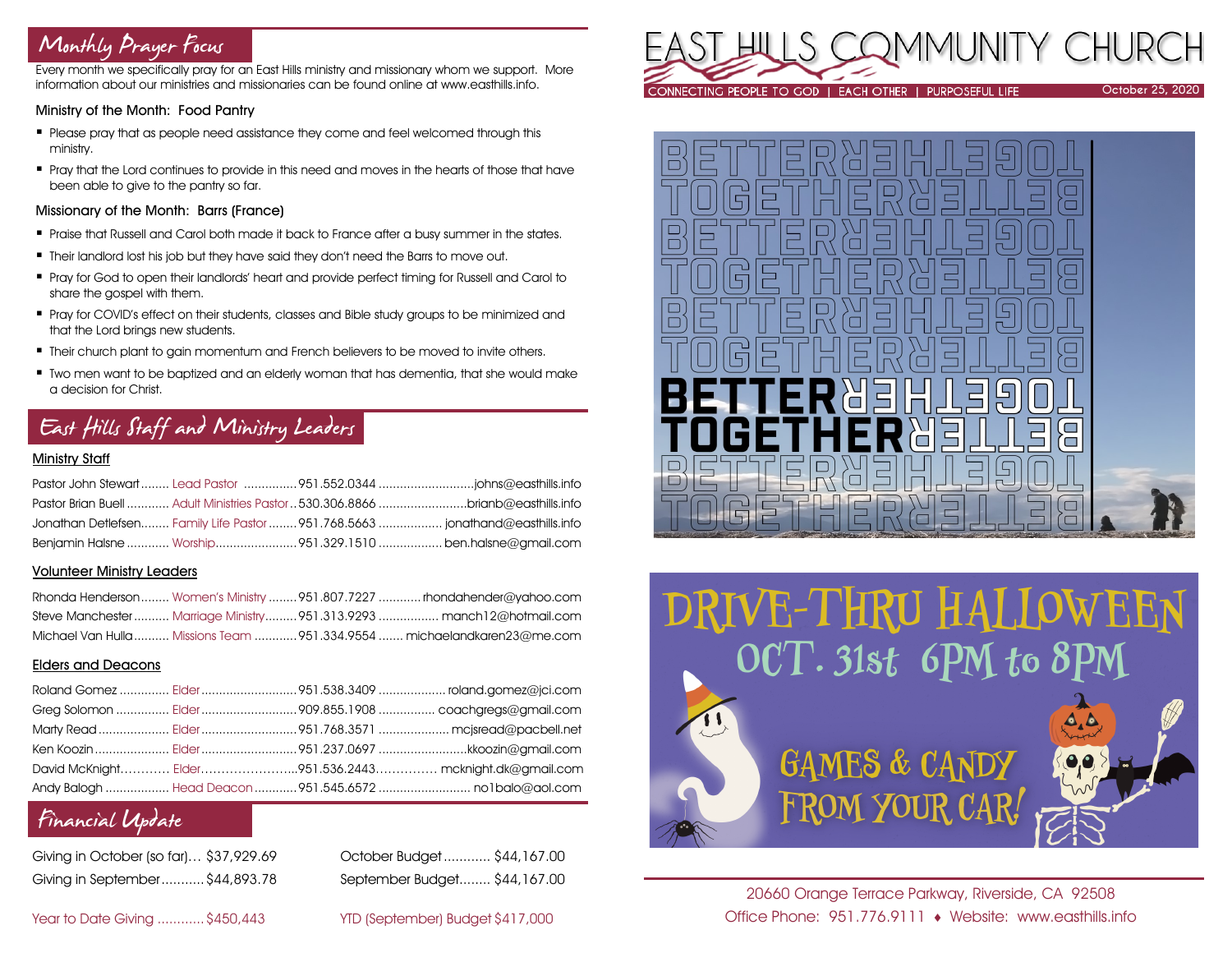## Monthly Prayer Focus

Every month we specifically pray for an East Hills ministry and missionary whom we support. More information about our ministries and missionaries can be found online at www.easthills.info.

#### Ministry of the Month: Food Pantry

- Please pray that as people need assistance they come and feel welcomed through this ministry.
- Pray that the Lord continues to provide in this need and moves in the hearts of those that have been able to give to the pantry so far.

#### Missionary of the Month: Barrs (France)

- **Praise that Russell and Carol both made it back to France after a busy summer in the states.**
- **.** Their landlord lost his job but they have said they don't need the Barrs to move out.
- Pray for God to open their landlords' heart and provide perfect timing for Russell and Carol to share the gospel with them.
- Pray for COVID's effect on their students, classes and Bible study groups to be minimized and that the Lord brings new students.
- **. Their church plant to gain momentum and French believers to be moved to invite others.**
- Two men want to be baptized and an elderly woman that has dementia, that she would make a decision for Christ.

## East Hills Staff and Ministry Leaders

#### Ministry Staff

| Pastor Brian Buell  Adult Ministries Pastor  530.306.8866 brianb@easthills.info |  |
|---------------------------------------------------------------------------------|--|
| Jonathan Detlefsen Family Life Pastor 951.768.5663  ionathand@easthills.info    |  |
| Benjamin Halsne  Worship951.329.1510  ben.halsne@gmail.com                      |  |

#### Volunteer Ministry Leaders

|  | Rhonda Henderson Women's Ministry  951.807.7227  rhondahender@yahoo.com  |
|--|--------------------------------------------------------------------------|
|  | Steve Manchester  Marriage Ministry  951.313.9293  manch12@hotmail.com   |
|  | Michael Van Hulla  Missions Team  951.334.9554  michaelandkaren23@me.com |

#### Elders and Deacons

|  | Ken Koozin  Elder 951.237.0697 kkoozin@gmail.com       |
|--|--------------------------------------------------------|
|  | David McKnight Elder951.536.2443 mcknight.dk@gmail.com |
|  |                                                        |

## Financial Update

| Giving in October (so far) \$37,929.69 |  |
|----------------------------------------|--|
| Giving in September\$44,893.78         |  |

October Budget............ \$44,167.00 Giving in September...........\$44,893.78 September Budget........ \$44,167.00

Year to Date Giving ............\$450,443 YTD (September) Budget \$417,000